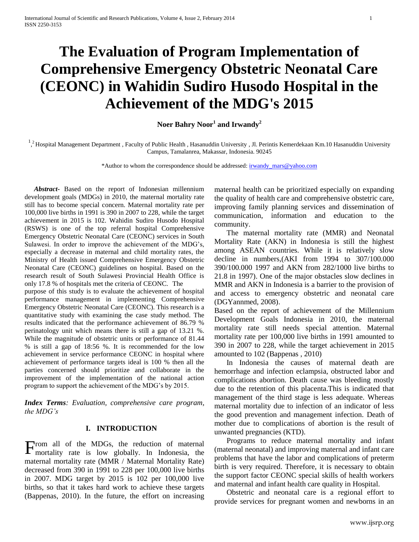# **The Evaluation of Program Implementation of Comprehensive Emergency Obstetric Neonatal Care (CEONC) in Wahidin Sudiro Husodo Hospital in the Achievement of the MDG's 2015**

**Noer Bahry Noor<sup>1</sup> and Irwandy<sup>2</sup>**

 $1,2$  Hospital Management Department, Faculty of Public Health, Hasanuddin University, Jl. Perintis Kemerdekaan Km.10 Hasanuddin University Campus, Tamalanrea, Makassar, Indonesia. 90245

\*Author to whom the correspondence should be addressed: [irwandy\\_mars@yahoo.com](mailto:irwandy_mars@yahoo.com)

 *Abstract***-** Based on the report of Indonesian millennium development goals (MDGs) in 2010, the maternal mortality rate still has to become special concern. Maternal mortality rate per 100,000 live births in 1991 is 390 in 2007 to 228, while the target achievement in 2015 is 102. Wahidin Sudiro Husodo Hospital (RSWS) is one of the top referral hospital Comprehensive Emergency Obstetric Neonatal Care (CEONC) services in South Sulawesi. In order to improve the achievement of the MDG's, especially a decrease in maternal and child mortality rates, the Ministry of Health issued Comprehensive Emergency Obstetric Neonatal Care (CEONC) guidelines on hospital. Based on the research result of South Sulawesi Provincial Health Office is only 17.8 % of hospitals met the criteria of CEONC. The

purpose of this study is to evaluate the achievement of hospital performance management in implementing Comprehensive Emergency Obstetric Neonatal Care (CEONC). This research is a quantitative study with examining the case study method. The results indicated that the performance achievement of 86.79 % perinatology unit which means there is still a gap of 13.21 %. While the magnitude of obstetric units or performance of 81.44 % is still a gap of 18:56 %. It is recommended for the low achievement in service performance CEONC in hospital where achievement of performance targets ideal is 100 % then all the parties concerned should prioritize and collaborate in the improvement of the implementation of the national action program to support the achievement of the MDG's by 2015.

*Index Terms: Evaluation, comprehensive care program, the MDG's*

## **I. INTRODUCTION**

From all of the MDGs, the reduction of maternal mortality rate is low globally. In Indonesia, the mortality rate is low globally. In Indonesia, the maternal mortality rate (MMR / Maternal Mortality Rate) decreased from 390 in 1991 to 228 per 100,000 live births in 2007. MDG target by 2015 is 102 per 100,000 live births, so that it takes hard work to achieve these targets (Bappenas, 2010). In the future, the effort on increasing

maternal health can be prioritized especially on expanding the quality of health care and comprehensive obstetric care, improving family planning services and dissemination of communication, information and education to the community.

The maternal mortality rate (MMR) and Neonatal Mortality Rate (AKN) in Indonesia is still the highest among ASEAN countries. While it is relatively slow decline in numbers,(AKI from 1994 to 307/100.000 390/100.000 1997 and AKN from 282/1000 live births to 21.8 in 1997). One of the major obstacles slow declines in MMR and AKN in Indonesia is a barrier to the provision of and access to emergency obstetric and neonatal care (DGYannmed, 2008).

Based on the report of achievement of the Millennium Development Goals Indonesia in 2010, the maternal mortality rate still needs special attention. Maternal mortality rate per 100,000 live births in 1991 amounted to 390 in 2007 to 228, while the target achievement in 2015 amounted to 102 (Bappenas , 2010)

In Indonesia the causes of maternal death are hemorrhage and infection eclampsia, obstructed labor and complications abortion. Death cause was bleeding mostly due to the retention of this placenta.This is indicated that management of the third stage is less adequate. Whereas maternal mortality due to infection of an indicator of less the good prevention and management infection. Death of mother due to complications of abortion is the result of unwanted pregnancies (KTD).

Programs to reduce maternal mortality and infant (maternal neonatal) and improving maternal and infant care problems that have the labor and complications of preterm birth is very required. Therefore, it is necessary to obtain the support factor CEONC special skills of health workers and maternal and infant health care quality in Hospital.

Obstetric and neonatal care is a regional effort to provide services for pregnant women and newborns in an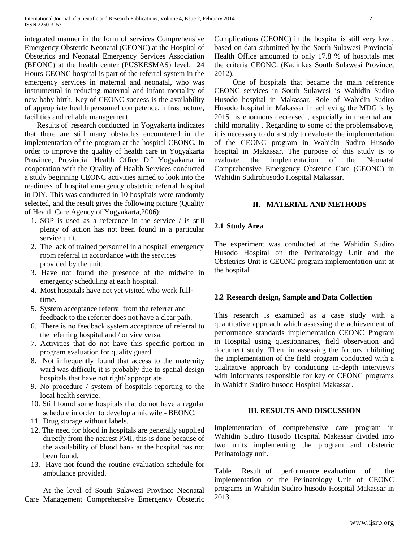integrated manner in the form of services Comprehensive Emergency Obstetric Neonatal (CEONC) at the Hospital of Obstetrics and Neonatal Emergency Services Association (BEONC) at the health center (PUSKESMAS) level. 24 Hours CEONC hospital is part of the referral system in the emergency services in maternal and neonatal, who was instrumental in reducing maternal and infant mortality of new baby birth. Key of CEONC success is the availability of appropriate health personnel competence, infrastructure, facilities and reliable management.

Results of research conducted in Yogyakarta indicates that there are still many obstacles encountered in the implementation of the program at the hospital CEONC. In order to improve the quality of health care in Yogyakarta Province, Provincial Health Office D.I Yogyakarta in cooperation with the Quality of Health Services conducted a study beginning CEONC activities aimed to look into the readiness of hospital emergency obstetric referral hospital in DIY. This was conducted in 10 hospitals were randomly selected, and the result gives the following picture (Quality of Health Care Agency of Yogyakarta,2006):

- 1. SOP is used as a reference in the service / is still plenty of action has not been found in a particular service unit.
- 2. The lack of trained personnel in a hospital emergency room referral in accordance with the services provided by the unit.
- 3. Have not found the presence of the midwife in emergency scheduling at each hospital.
- 4. Most hospitals have not yet visited who work fulltime.
- 5. System acceptance referral from the referrer and feedback to the referrer does not have a clear path.
- 6. There is no feedback system acceptance of referral to the referring hospital and / or vice versa.
- 7. Activities that do not have this specific portion in program evaluation for quality guard.
- 8. Not infrequently found that access to the maternity ward was difficult, it is probably due to spatial design hospitals that have not right/ appropriate.
- 9. No procedure / system of hospitals reporting to the local health service.
- 10. Still found some hospitals that do not have a regular schedule in order to develop a midwife - BEONC.
- 11. Drug storage without labels.
- 12. The need for blood in hospitals are generally supplied directly from the nearest PMI, this is done because of the availability of blood bank at the hospital has not been found.
- 13. Have not found the routine evaluation schedule for ambulance provided.

At the level of South Sulawesi Province Neonatal Care Management Comprehensive Emergency Obstetric Complications (CEONC) in the hospital is still very low , based on data submitted by the South Sulawesi Provincial Health Office amounted to only 17.8 % of hospitals met the criteria CEONC. (Kadinkes South Sulawesi Province, 2012).

One of hospitals that became the main reference CEONC services in South Sulawesi is Wahidin Sudiro Husodo hospital in Makassar. Role of Wahidin Sudiro Husodo hospital in Makassar in achieving the MDG 's by 2015 is enormous decreased , especially in maternal and child mortality . Regarding to some of the problemsabove, it is necessary to do a study to evaluate the implementation of the CEONC program in Wahidin Sudiro Husodo hospital in Makassar. The purpose of this study is to evaluate the implementation of the Neonatal Comprehensive Emergency Obstetric Care (CEONC) in Wahidin Sudirohusodo Hospital Makassar.

## **II. MATERIAL AND METHODS**

#### **2.1 Study Area**

The experiment was conducted at the Wahidin Sudiro Husodo Hospital on the Perinatology Unit and the Obstetrics Unit is CEONC program implementation unit at the hospital.

#### **2.2 Research design, Sample and Data Collection**

This research is examined as a case study with a quantitative approach which assessing the achievement of performance standards implementation CEONC Program in Hospital using questionnaires, field observation and document study. Then, in assessing the factors inhibiting the implementation of the field program conducted with a qualitative approach by conducting in-depth interviews with informants responsible for key of CEONC programs in Wahidin Sudiro husodo Hospital Makassar.

#### **III. RESULTS AND DISCUSSION**

Implementation of comprehensive care program in Wahidin Sudiro Husodo Hospital Makassar divided into two units implementing the program and obstetric Perinatology unit.

Table 1.Result of performance evaluation of the implementation of the Perinatology Unit of CEONC programs in Wahidin Sudiro husodo Hospital Makassar in 2013.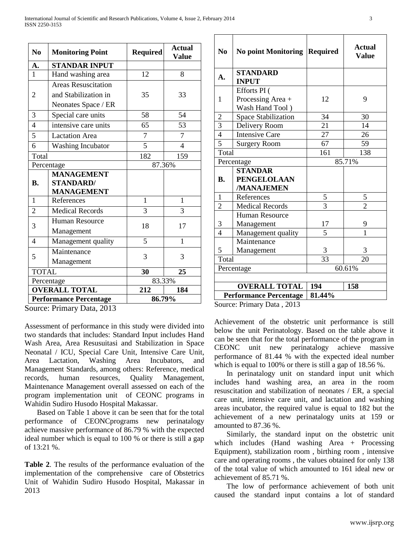| N <sub>0</sub>                | <b>Monitoring Point</b>    | <b>Required</b> | <b>Actual</b><br><b>Value</b> |
|-------------------------------|----------------------------|-----------------|-------------------------------|
| A.                            | <b>STANDAR INPUT</b>       |                 |                               |
| $\mathbf{1}$                  | Hand washing area          | 12              | 8                             |
| $\overline{2}$                | <b>Areas Resuscitation</b> |                 |                               |
|                               | and Stabilization in       | 35              | 33                            |
|                               | Neonates Space / ER        |                 |                               |
| 3                             | Special care units         | 58              | 54                            |
| $\overline{4}$                | intensive care units       | 65              | 53                            |
| 5                             | <b>Lactation Area</b>      | $\overline{7}$  | $\overline{7}$                |
| 6                             | <b>Washing Incubator</b>   | 5               | $\overline{4}$                |
| Total                         |                            | 182             | 159                           |
| Percentage                    |                            | 87.36%          |                               |
|                               | <b>MANAGEMENT</b>          |                 |                               |
| <b>B.</b>                     | <b>STANDARD/</b>           |                 |                               |
|                               | <b>MANAGEMENT</b>          |                 |                               |
| 1                             | References                 | 1               | 1                             |
| $\overline{2}$                | <b>Medical Records</b>     | $\overline{3}$  | $\overline{3}$                |
| 3                             | <b>Human Resource</b>      | 18              | 17                            |
|                               | Management                 |                 |                               |
| 4                             | Management quality         | 5               | 1                             |
| 5                             | Maintenance                | 3               | 3                             |
|                               | Management                 |                 |                               |
| <b>TOTAL</b>                  |                            | 30              | 25                            |
| Percentage                    |                            | 83.33%          |                               |
| <b>OVERALL TOTAL</b>          |                            | 212             | 184                           |
| <b>Performance Percentage</b> |                            | 86.79%          |                               |

Source: Primary Data, 2013

Assessment of performance in this study were divided into two standards that includes: Standard Input includes Hand Wash Area, Area Resusuitasi and Stabilization in Space Neonatal / ICU, Special Care Unit, Intensive Care Unit, Area Lactation, Washing Area Incubators, and Management Standards, among others: Reference, medical records, human resources, Quality Management, Maintenance Management overall assessed on each of the program implementation unit of CEONC programs in Wahidin Sudiro Husodo Hospital Makassar.

Based on Table 1 above it can be seen that for the total performance of CEONCprograms new perinatalogy achieve massive performance of 86.79 % with the expected ideal number which is equal to 100 % or there is still a gap of 13:21 %.

**Table 2**. The results of the performance evaluation of the implementation of the comprehensive care of Obstetrics Unit of Wahidin Sudiro Husodo Hospital, Makassar in 2013

| N <sub>0</sub>       | <b>No point Monitoring</b>           | <b>Required</b> | <b>Actual</b><br>Value |  |
|----------------------|--------------------------------------|-----------------|------------------------|--|
| A.                   | <b>STANDARD</b><br><b>INPUT</b>      |                 |                        |  |
|                      | Efforts PI (                         |                 |                        |  |
| $\mathbf{1}$         | Processing Area +<br>Wash Hand Tool) | 12              | 9                      |  |
| $\overline{c}$       | Space Stabilization                  | 34              | 30                     |  |
| $\frac{3}{4}$        | Delivery Room                        | 21              | 14                     |  |
|                      | <b>Intensive Care</b>                | 27              | 26                     |  |
| 5                    | <b>Surgery Room</b>                  | 67              | 59                     |  |
| Total                |                                      | 161             | 138                    |  |
| Percentage           |                                      | 85.71%          |                        |  |
|                      | <b>STANDAR</b>                       |                 |                        |  |
| <b>B.</b>            | <b>PENGELOLAAN</b>                   |                 |                        |  |
|                      | /MANAJEMEN                           |                 |                        |  |
| $\mathbf{1}$         | References                           | $\overline{5}$  | 5                      |  |
| $\overline{2}$       | <b>Medical Records</b>               | $\overline{3}$  | $\overline{2}$         |  |
|                      | <b>Human Resource</b>                |                 |                        |  |
| 3                    | Management                           | 17              | 9                      |  |
| $\overline{4}$       | Management quality                   | 5               | 1                      |  |
|                      | Maintenance                          |                 |                        |  |
| 5                    | Management                           | 3               | 3                      |  |
| Total                |                                      | 33              | 20                     |  |
| Percentage           |                                      | 60.61%          |                        |  |
|                      |                                      |                 |                        |  |
| <b>OVERALL TOTAL</b> |                                      | 194             | 158                    |  |
|                      | <b>Performance Percentage</b>        | 81.44%          |                        |  |

Source: Primary Data , 2013

Achievement of the obstetric unit performance is still below the unit Perinatology. Based on the table above it can be seen that for the total performance of the program in CEONC unit new perinatalogy achieve massive performance of 81.44 % with the expected ideal number which is equal to 100% or there is still a gap of 18.56 %.

In perinatalogy unit on standard input unit which includes hand washing area, an area in the room resuscitation and stabilization of neonates / ER, a special care unit, intensive care unit, and lactation and washing areas incubator, the required value is equal to 182 but the achievement of a new perinatalogy units at 159 or amounted to 87.36 %.

Similarly, the standard input on the obstetric unit which includes (Hand washing Area + Processing Equipment), stabilization room , birthing room , intensive care and operating rooms , the values obtained for only 138 of the total value of which amounted to 161 ideal new or achievement of 85.71 %.

The low of performance achievement of both unit caused the standard input contains a lot of standard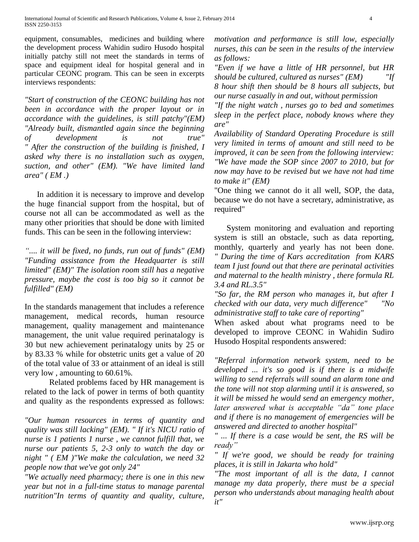equipment, consumables, medicines and building where the development process Wahidin sudiro Husodo hospital initially patchy still not meet the standards in terms of space and equipment ideal for hospital general and in particular CEONC program. This can be seen in excerpts interviews respondents:

*"Start of construction of the CEONC building has not been in accordance with the proper layout or in accordance with the guidelines, is still patchy"(EM) "Already built, dismantled again since the beginning of development is not true" " After the construction of the building is finished, I asked why there is no installation such as oxygen, suction, and other" (EM). "We have limited land area" ( EM .)*

In addition it is necessary to improve and develop the huge financial support from the hospital, but of course not all can be accommodated as well as the many other priorities that should be done with limited funds. This can be seen in the following interview:

*".... it will be fixed, no funds, run out of funds" (EM) "Funding assistance from the Headquarter is still limited" (EM)" The isolation room still has a negative pressure, maybe the cost is too big so it cannot be fulfilled" (EM)*

In the standards management that includes a reference management, medical records, human resource management, quality management and maintenance management, the unit value required perinatalogy is 30 but new achievement perinatalogy units by 25 or by 83.33 % while for obstetric units get a value of 20 of the total value of 33 or attainment of an ideal is still very low , amounting to 60.61%.

Related problems faced by HR management is related to the lack of power in terms of both quantity and quality as the respondents expressed as follows:

*"Our human resources in terms of quantity and quality was still lacking" (EM). " If it's NICU ratio of nurse is 1 patients 1 nurse , we cannot fulfill that, we nurse our patients 5, 2-3 only to watch the day or night " ( EM )"We make the calculation, we need 32 people now that we've got only 24"*

*"We actually need pharmacy; there is one in this new year but not in a full-time status to manage parental nutrition"In terms of quantity and quality, culture,* 

*motivation and performance is still low, especially nurses, this can be seen in the results of the interview as follows:*

*"Even if we have a little of HR personnel, but HR should be cultured, cultured as nurses" (EM) "If* 

*8 hour shift then should be 8 hours all subjects, but our nurse casually in and out, without permission* 

*"If the night watch , nurses go to bed and sometimes sleep in the perfect place, nobody knows where they are"*

*Availability of Standard Operating Procedure is still very limited in terms of amount and still need to be improved, it can be seen from the following interview: "We have made the SOP since 2007 to 2010, but for now may have to be revised but we have not had time to make it" (EM)*

"One thing we cannot do it all well, SOP, the data, because we do not have a secretary, administrative, as required"

System monitoring and evaluation and reporting system is still an obstacle, such as data reporting, monthly, quarterly and yearly has not been done. *" During the time of Kars accreditation from KARS team I just found out that there are perinatal activities and maternal to the health ministry , there formula RL 3.4 and RL.3.5"*

*"So far, the RM person who manages it, but after I checked with our data, very much difference" "No administrative staff to take care of reporting"*

When asked about what programs need to be developed to improve CEONC in Wahidin Sudiro Husodo Hospital respondents answered:

*"Referral information network system, need to be developed ... it's so good is if there is a midwife willing to send referrals will sound an alarm tone and the tone will not stop alarming until it is answered, so it will be missed he would send an emergency mother, later answered what is acceptable "da" tone place and if there is no management of emergencies will be answered and directed to another hospital"*

*" ... If there is a case would be sent, the RS will be ready"*

*" If we're good, we should be ready for training places, it is still in Jakarta who hold"*

*"The most important of all is the data, I cannot manage my data properly, there must be a special person who understands about managing health about it"*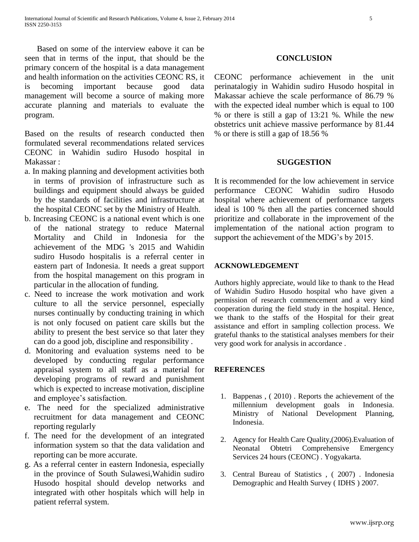Based on some of the interview eabove it can be seen that in terms of the input, that should be the primary concern of the hospital is a data management and health information on the activities CEONC RS, it is becoming important because good data management will become a source of making more accurate planning and materials to evaluate the program.

Based on the results of research conducted then formulated several recommendations related services CEONC in Wahidin sudiro Husodo hospital in Makassar :

- a. In making planning and development activities both in terms of provision of infrastructure such as buildings and equipment should always be guided by the standards of facilities and infrastructure at the hospital CEONC set by the Ministry of Health.
- b. Increasing CEONC is a national event which is one of the national strategy to reduce Maternal Mortality and Child in Indonesia for the achievement of the MDG 's 2015 and Wahidin sudiro Husodo hospitalis is a referral center in eastern part of Indonesia. It needs a great support from the hospital management on this program in particular in the allocation of funding.
- c. Need to increase the work motivation and work culture to all the service personnel, especially nurses continually by conducting training in which is not only focused on patient care skills but the ability to present the best service so that later they can do a good job, discipline and responsibility .
- d. Monitoring and evaluation systems need to be developed by conducting regular performance appraisal system to all staff as a material for developing programs of reward and punishment which is expected to increase motivation, discipline and employee's satisfaction.
- e. The need for the specialized administrative recruitment for data management and CEONC reporting regularly
- f. The need for the development of an integrated information system so that the data validation and reporting can be more accurate.
- g. As a referral center in eastern Indonesia, especially in the province of South Sulawesi,Wahidin sudiro Husodo hospital should develop networks and integrated with other hospitals which will help in patient referral system.

# **CONCLUSION**

CEONC performance achievement in the unit perinatalogiy in Wahidin sudiro Husodo hospital in Makassar achieve the scale performance of 86.79 % with the expected ideal number which is equal to 100 % or there is still a gap of 13:21 %. While the new obstetrics unit achieve massive performance by 81.44 % or there is still a gap of 18.56 %

## **SUGGESTION**

It is recommended for the low achievement in service performance CEONC Wahidin sudiro Husodo hospital where achievement of performance targets ideal is 100 % then all the parties concerned should prioritize and collaborate in the improvement of the implementation of the national action program to support the achievement of the MDG's by 2015.

# **ACKNOWLEDGEMENT**

Authors highly appreciate, would like to thank to the Head of Wahidin Sudiro Husodo hospital who have given a permission of research commencement and a very kind cooperation during the field study in the hospital. Hence, we thank to the staffs of the Hospital for their great assistance and effort in sampling collection process. We grateful thanks to the statistical analyses members for their very good work for analysis in accordance .

# **REFERENCES**

- 1. Bappenas , ( 2010) . Reports the achievement of the millennium development goals in Indonesia. Ministry of National Development Planning, Indonesia.
- 2. Agency for Health Care Quality,(2006).Evaluation of Neonatal Obtetri Comprehensive Emergency Services 24 hours (CEONC) . Yogyakarta.
- 3. Central Bureau of Statistics , ( 2007) . Indonesia Demographic and Health Survey ( IDHS ) 2007.